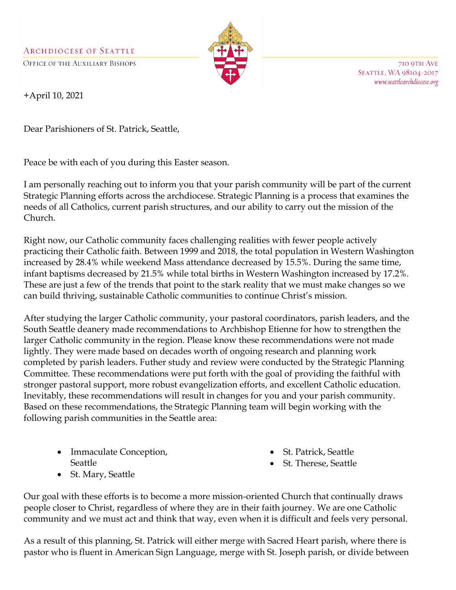**ARCHDIOCESE OF SEATTLE** 

**OFFICE OF THE AUXILIARY BISHOPS** 



710 9TH AVE **SEATTLE, WA 98104-2017** www.seattlearchdiocese.org

+April 10, 2021

Dear Parishioners of St. Patrick, Seattle,

Peace be with each of you during this Easter season.

I am personally reaching out to inform you that your parish community will be part of the current Strategic Planning efforts across the archdiocese. Strategic Planning is a process that examines the needs of all Catholics, current parish structures, and our ability to carry out the mission of the Church.

Right now, our Catholic community faces challenging realities with fewer people actively practicing their Catholic faith. Between 1999 and 2018, the total population in Western Washington increased by 28.4% while weekend Mass attendance decreased by 15.5%. During the same time, infant baptisms decreased by 21.5% while total births in Western Washington increased by 17.2%. These are just a few of the trends that point to the stark reality that we must make changes so we can build thriving, sustainable Catholic communities to continue Christ's mission.

After studying the larger Catholic community, your pastoral coordinators, parish leaders, and the South Seattle deanery made recommendations to Archbishop Etienne for how to strengthen the larger Catholic community in the region. Please know these recommendations were not made lightly. They were made based on decades worth of ongoing research and planning work completed by parish leaders. Futher study and review were conducted by the Strategic Planning Committee. These recommendations were put forth with the goal of providing the faithful with stronger pastoral support, more robust evangelization efforts, and excellent Catholic education. Inevitably, these recommendations will result in changes for you and your parish community. Based on these recommendations, the Strategic Planning team will begin working with the following parish communities in the Seattle area:

- Immaculate Conception, Seattle
- St. Mary, Seattle
- St. Patrick, Seattle
- St. Therese, Seattle

Our goal with these efforts is to become a more mission-oriented Church that continually draws people closer to Christ, regardless of where they are in their faith journey. We are one Catholic community and we must act and think that way, even when it is difficult and feels very personal.

As a result of this planning, St. Patrick will either merge with Sacred Heart parish, where there is pastor who is fluent in American Sign Language, merge with St. Joseph parish, or divide between